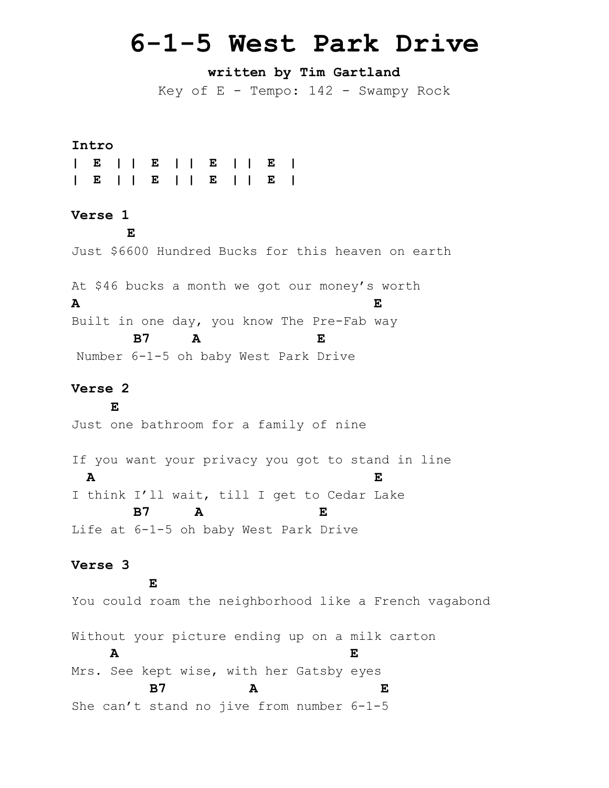# **6-1-5 West Park Drive**

# **written by Tim Gartland**

Key of  $E$  - Tempo:  $142$  - Swampy Rock

#### **Intro**

### **Verse 1**

 **E**

Just \$6600 Hundred Bucks for this heaven on earth

At \$46 bucks a month we got our money's worth **A E** Built in one day, you know The Pre-Fab way **B7 A E**

Number 6-1-5 oh baby West Park Drive

## **Verse 2**

 **E** Just one bathroom for a family of nine

If you want your privacy you got to stand in line **A E** I think I'll wait, till I get to Cedar Lake  **B7 A E** Life at 6-1-5 oh baby West Park Drive

#### **Verse 3**

**E** You could roam the neighborhood like a French vagabond Without your picture ending up on a milk carton  **A E** Mrs. See kept wise, with her Gatsby eyes  **B7 A E** She can't stand no jive from number 6-1-5